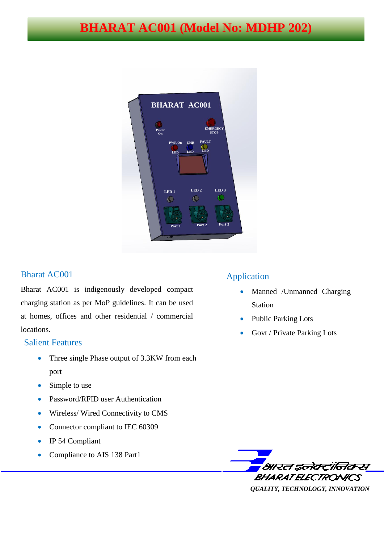# **BHARAT AC001 (Model No: MDHP 202)**



### Bharat AC001

Bharat AC001 is indigenously developed compact charging station as per MoP guidelines. It can be used at homes, offices and other residential / commercial locations.

#### Salient Features

- Three single Phase output of 3.3KW from each port
- Simple to use
- Password/RFID user Authentication
- Wireless/ Wired Connectivity to CMS
- Connector compliant to IEC 60309
- IP 54 Compliant
- Compliance to AIS 138 Part1

### Application

- Manned /Unmanned Charging Station
- Public Parking Lots
- Govt / Private Parking Lots